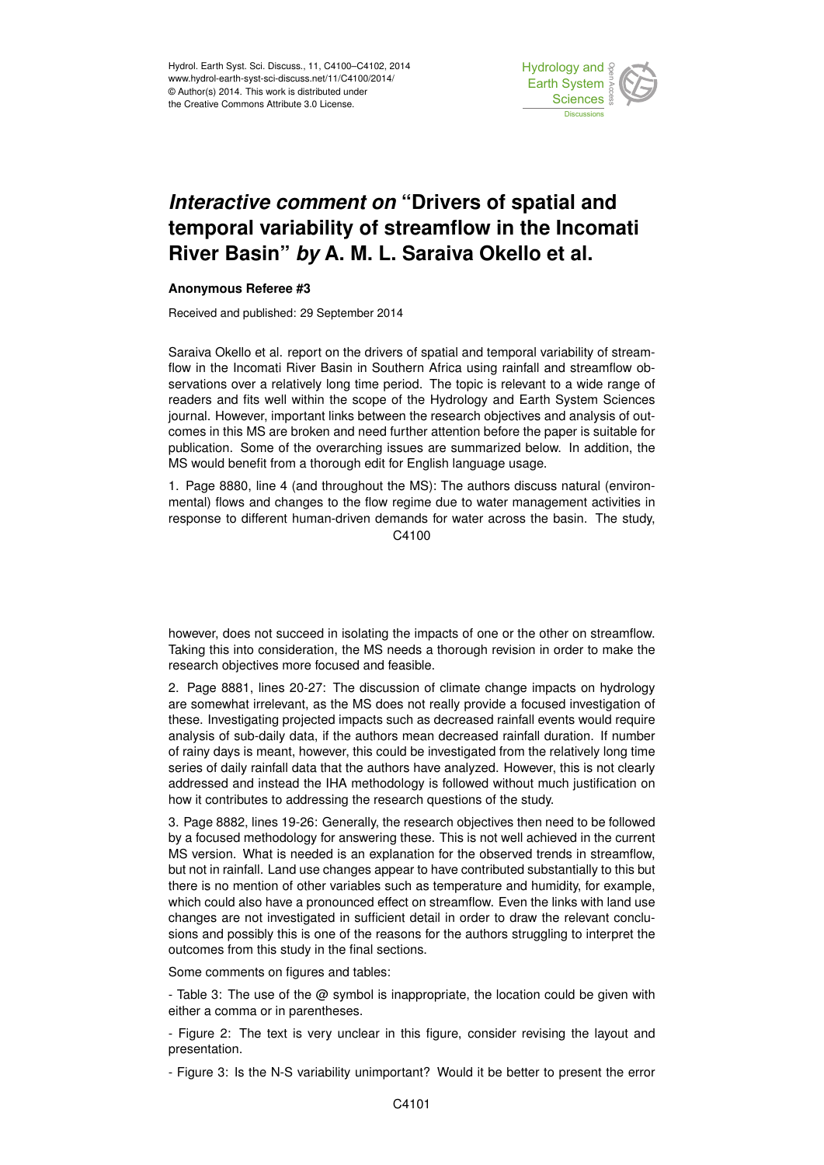

## *Interactive comment on* **"Drivers of spatial and temporal variability of streamflow in the Incomati River Basin"** *by* **A. M. L. Saraiva Okello et al.**

## **Anonymous Referee #3**

Received and published: 29 September 2014

Saraiva Okello et al. report on the drivers of spatial and temporal variability of streamflow in the Incomati River Basin in Southern Africa using rainfall and streamflow observations over a relatively long time period. The topic is relevant to a wide range of readers and fits well within the scope of the Hydrology and Earth System Sciences journal. However, important links between the research objectives and analysis of outcomes in this MS are broken and need further attention before the paper is suitable for publication. Some of the overarching issues are summarized below. In addition, the MS would benefit from a thorough edit for English language usage.

1. Page 8880, line 4 (and throughout the MS): The authors discuss natural (environmental) flows and changes to the flow regime due to water management activities in response to different human-driven demands for water across the basin. The study, C4100

however, does not succeed in isolating the impacts of one or the other on streamflow. Taking this into consideration, the MS needs a thorough revision in order to make the research objectives more focused and feasible.

2. Page 8881, lines 20-27: The discussion of climate change impacts on hydrology are somewhat irrelevant, as the MS does not really provide a focused investigation of these. Investigating projected impacts such as decreased rainfall events would require analysis of sub-daily data, if the authors mean decreased rainfall duration. If number of rainy days is meant, however, this could be investigated from the relatively long time series of daily rainfall data that the authors have analyzed. However, this is not clearly addressed and instead the IHA methodology is followed without much justification on how it contributes to addressing the research questions of the study.

3. Page 8882, lines 19-26: Generally, the research objectives then need to be followed by a focused methodology for answering these. This is not well achieved in the current MS version. What is needed is an explanation for the observed trends in streamflow, but not in rainfall. Land use changes appear to have contributed substantially to this but there is no mention of other variables such as temperature and humidity, for example, which could also have a pronounced effect on streamflow. Even the links with land use changes are not investigated in sufficient detail in order to draw the relevant conclusions and possibly this is one of the reasons for the authors struggling to interpret the outcomes from this study in the final sections.

Some comments on figures and tables:

- Table 3: The use of the  $\omega$  symbol is inappropriate, the location could be given with either a comma or in parentheses.

- Figure 2: The text is very unclear in this figure, consider revising the layout and presentation.

- Figure 3: Is the N-S variability unimportant? Would it be better to present the error